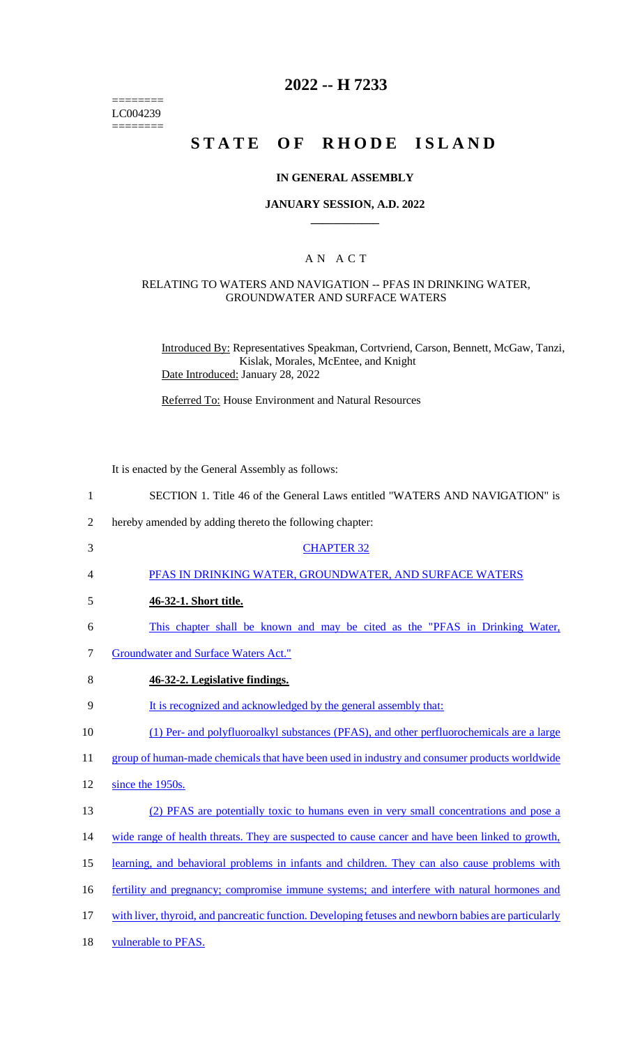======== LC004239  $=$ 

# **2022 -- H 7233**

# **STATE OF RHODE ISLAND**

### **IN GENERAL ASSEMBLY**

### **JANUARY SESSION, A.D. 2022 \_\_\_\_\_\_\_\_\_\_\_\_**

### A N A C T

#### RELATING TO WATERS AND NAVIGATION -- PFAS IN DRINKING WATER, GROUNDWATER AND SURFACE WATERS

Introduced By: Representatives Speakman, Cortvriend, Carson, Bennett, McGaw, Tanzi, Kislak, Morales, McEntee, and Knight Date Introduced: January 28, 2022

Referred To: House Environment and Natural Resources

It is enacted by the General Assembly as follows:

| $\mathbf{1}$   | SECTION 1. Title 46 of the General Laws entitled "WATERS AND NAVIGATION" is                          |
|----------------|------------------------------------------------------------------------------------------------------|
| $\overline{2}$ | hereby amended by adding thereto the following chapter:                                              |
| 3              | <b>CHAPTER 32</b>                                                                                    |
| 4              | PFAS IN DRINKING WATER, GROUNDWATER, AND SURFACE WATERS                                              |
| 5              | 46-32-1. Short title.                                                                                |
| 6              | This chapter shall be known and may be cited as the "PFAS in Drinking Water,                         |
| 7              | <b>Groundwater and Surface Waters Act."</b>                                                          |
| 8              | 46-32-2. Legislative findings.                                                                       |
| 9              | It is recognized and acknowledged by the general assembly that:                                      |
| 10             | (1) Per- and polyfluoroalkyl substances (PFAS), and other perfluorochemicals are a large             |
| 11             | group of human-made chemicals that have been used in industry and consumer products worldwide        |
| 12             | since the 1950s.                                                                                     |
| 13             | (2) PFAS are potentially toxic to humans even in very small concentrations and pose a                |
| 14             | wide range of health threats. They are suspected to cause cancer and have been linked to growth,     |
| 15             | learning, and behavioral problems in infants and children. They can also cause problems with         |
| 16             | fertility and pregnancy; compromise immune systems; and interfere with natural hormones and          |
| 17             | with liver, thyroid, and pancreatic function. Developing fetuses and newborn babies are particularly |
| 18             | vulnerable to PFAS.                                                                                  |
|                |                                                                                                      |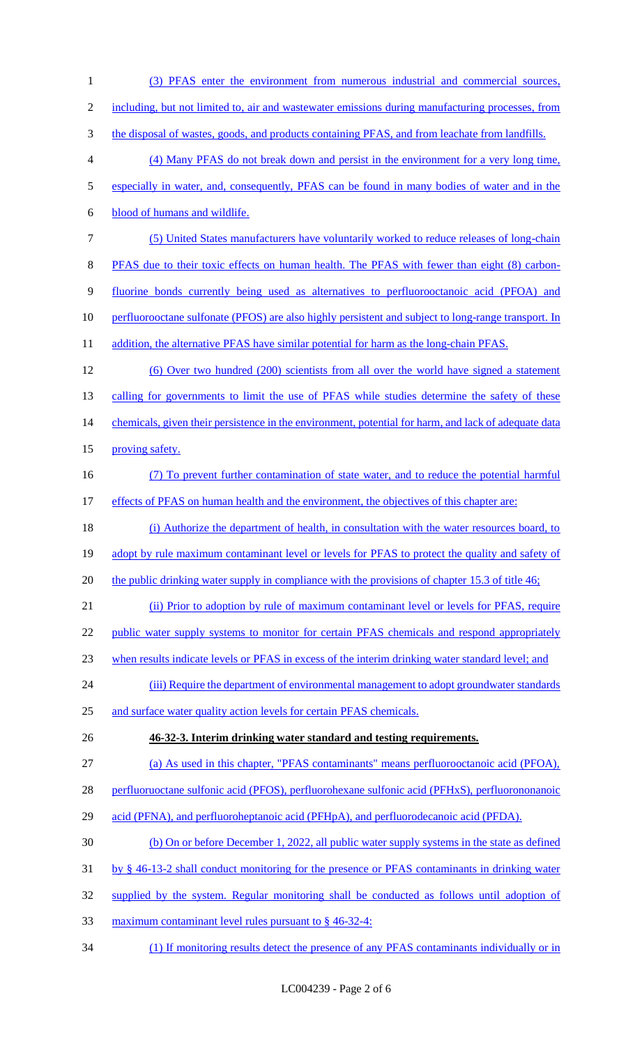1 (3) PFAS enter the environment from numerous industrial and commercial sources, 2 including, but not limited to, air and wastewater emissions during manufacturing processes, from 3 the disposal of wastes, goods, and products containing PFAS, and from leachate from landfills. 4 (4) Many PFAS do not break down and persist in the environment for a very long time, 5 especially in water, and, consequently, PFAS can be found in many bodies of water and in the 6 blood of humans and wildlife. 7 (5) United States manufacturers have voluntarily worked to reduce releases of long-chain 8 PFAS due to their toxic effects on human health. The PFAS with fewer than eight (8) carbon-9 fluorine bonds currently being used as alternatives to perfluorooctanoic acid (PFOA) and 10 perfluorooctane sulfonate (PFOS) are also highly persistent and subject to long-range transport. In 11 addition, the alternative PFAS have similar potential for harm as the long-chain PFAS. 12 (6) Over two hundred (200) scientists from all over the world have signed a statement 13 calling for governments to limit the use of PFAS while studies determine the safety of these 14 chemicals, given their persistence in the environment, potential for harm, and lack of adequate data 15 proving safety. 16 (7) To prevent further contamination of state water, and to reduce the potential harmful 17 effects of PFAS on human health and the environment, the objectives of this chapter are: 18 (i) Authorize the department of health, in consultation with the water resources board, to 19 adopt by rule maximum contaminant level or levels for PFAS to protect the quality and safety of 20 the public drinking water supply in compliance with the provisions of chapter 15.3 of title 46; 21 (ii) Prior to adoption by rule of maximum contaminant level or levels for PFAS, require 22 public water supply systems to monitor for certain PFAS chemicals and respond appropriately 23 when results indicate levels or PFAS in excess of the interim drinking water standard level; and 24 (iii) Require the department of environmental management to adopt groundwater standards 25 and surface water quality action levels for certain PFAS chemicals. 26 **46-32-3. Interim drinking water standard and testing requirements.**  27 (a) As used in this chapter, "PFAS contaminants" means perfluorooctanoic acid (PFOA), 28 perfluoruoctane sulfonic acid (PFOS), perfluorohexane sulfonic acid (PFHxS), perfluorononanoic 29 acid (PFNA), and perfluoroheptanoic acid (PFHpA), and perfluorodecanoic acid (PFDA). 30 (b) On or before December 1, 2022, all public water supply systems in the state as defined 31 by § 46-13-2 shall conduct monitoring for the presence or PFAS contaminants in drinking water 32 supplied by the system. Regular monitoring shall be conducted as follows until adoption of 33 maximum contaminant level rules pursuant to § 46-32-4: 34 (1) If monitoring results detect the presence of any PFAS contaminants individually or in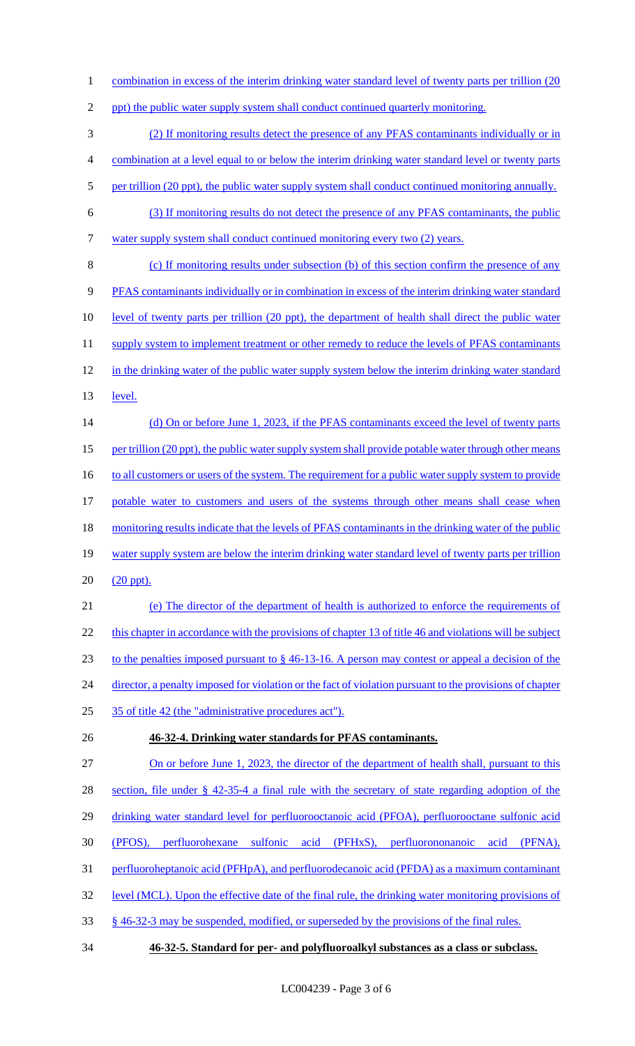1 combination in excess of the interim drinking water standard level of twenty parts per trillion (20

2 ppt) the public water supply system shall conduct continued quarterly monitoring.

3 (2) If monitoring results detect the presence of any PFAS contaminants individually or in

4 combination at a level equal to or below the interim drinking water standard level or twenty parts

- 5 per trillion (20 ppt), the public water supply system shall conduct continued monitoring annually.
- 6 (3) If monitoring results do not detect the presence of any PFAS contaminants, the public
	- 7 water supply system shall conduct continued monitoring every two (2) years.
	- 8 (c) If monitoring results under subsection (b) of this section confirm the presence of any 9 PFAS contaminants individually or in combination in excess of the interim drinking water standard 10 level of twenty parts per trillion (20 ppt), the department of health shall direct the public water 11 supply system to implement treatment or other remedy to reduce the levels of PFAS contaminants 12 in the drinking water of the public water supply system below the interim drinking water standard 13 <u>level.</u>
	- 14 (d) On or before June 1, 2023, if the PFAS contaminants exceed the level of twenty parts 15 per trillion (20 ppt), the public water supply system shall provide potable water through other means 16 to all customers or users of the system. The requirement for a public water supply system to provide 17 potable water to customers and users of the systems through other means shall cease when
	- 18 monitoring results indicate that the levels of PFAS contaminants in the drinking water of the public 19 water supply system are below the interim drinking water standard level of twenty parts per trillion
	- 20 (20 ppt).
	- 21 (e) The director of the department of health is authorized to enforce the requirements of 22 this chapter in accordance with the provisions of chapter 13 of title 46 and violations will be subject 23 to the penalties imposed pursuant to § 46-13-16. A person may contest or appeal a decision of the 24 director, a penalty imposed for violation or the fact of violation pursuant to the provisions of chapter
	- 25 35 of title 42 (the "administrative procedures act").
	-

# 26 **46-32-4. Drinking water standards for PFAS contaminants.**

- 27 On or before June 1, 2023, the director of the department of health shall, pursuant to this 28 section, file under § 42-35-4 a final rule with the secretary of state regarding adoption of the
- 29 drinking water standard level for perfluorooctanoic acid (PFOA), perfluorooctane sulfonic acid
- 30 (PFOS), perfluorohexane sulfonic acid (PFHxS), perfluorononanoic acid (PFNA),
- 31 perfluoroheptanoic acid (PFHpA), and perfluorodecanoic acid (PFDA) as a maximum contaminant
- 32 level (MCL). Upon the effective date of the final rule, the drinking water monitoring provisions of
- 33 § 46-32-3 may be suspended, modified, or superseded by the provisions of the final rules.
- 34 **46-32-5. Standard for per- and polyfluoroalkyl substances as a class or subclass.**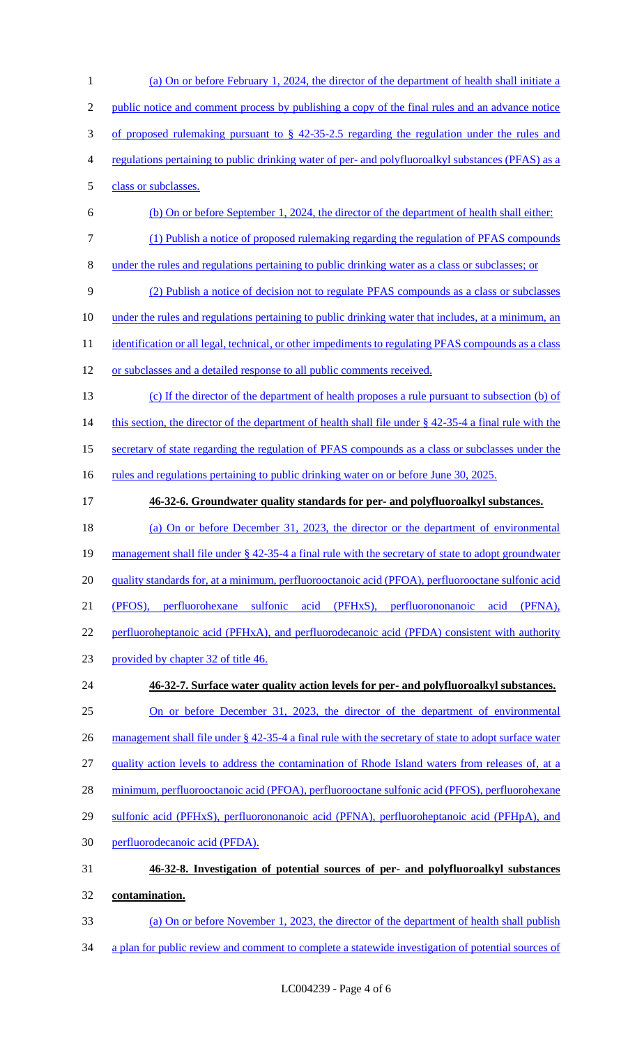(a) On or before February 1, 2024, the director of the department of health shall initiate a 2 public notice and comment process by publishing a copy of the final rules and an advance notice of proposed rulemaking pursuant to § 42-35-2.5 regarding the regulation under the rules and regulations pertaining to public drinking water of per- and polyfluoroalkyl substances (PFAS) as a class or subclasses. (b) On or before September 1, 2024, the director of the department of health shall either: (1) Publish a notice of proposed rulemaking regarding the regulation of PFAS compounds under the rules and regulations pertaining to public drinking water as a class or subclasses; or (2) Publish a notice of decision not to regulate PFAS compounds as a class or subclasses 10 under the rules and regulations pertaining to public drinking water that includes, at a minimum, an 11 identification or all legal, technical, or other impediments to regulating PFAS compounds as a class or subclasses and a detailed response to all public comments received. (c) If the director of the department of health proposes a rule pursuant to subsection (b) of 14 this section, the director of the department of health shall file under § 42-35-4 a final rule with the secretary of state regarding the regulation of PFAS compounds as a class or subclasses under the 16 rules and regulations pertaining to public drinking water on or before June 30, 2025. **46-32-6. Groundwater quality standards for per- and polyfluoroalkyl substances.**  (a) On or before December 31, 2023, the director or the department of environmental management shall file under § 42-35-4 a final rule with the secretary of state to adopt groundwater 20 quality standards for, at a minimum, perfluorooctanoic acid (PFOA), perfluorooctane sulfonic acid (PFOS), perfluorohexane sulfonic acid (PFHxS), perfluorononanoic acid (PFNA), 22 perfluoroheptanoic acid (PFHxA), and perfluorodecanoic acid (PFDA) consistent with authority provided by chapter 32 of title 46. **46-32-7. Surface water quality action levels for per- and polyfluoroalkyl substances.**  On or before December 31, 2023, the director of the department of environmental 26 management shall file under § 42-35-4 a final rule with the secretary of state to adopt surface water 27 quality action levels to address the contamination of Rhode Island waters from releases of, at a minimum, perfluorooctanoic acid (PFOA), perfluorooctane sulfonic acid (PFOS), perfluorohexane 29 sulfonic acid (PFHxS), perfluorononanoic acid (PFNA), perfluoroheptanoic acid (PFHpA), and perfluorodecanoic acid (PFDA). **46-32-8. Investigation of potential sources of per- and polyfluoroalkyl substances contamination.**  (a) On or before November 1, 2023, the director of the department of health shall publish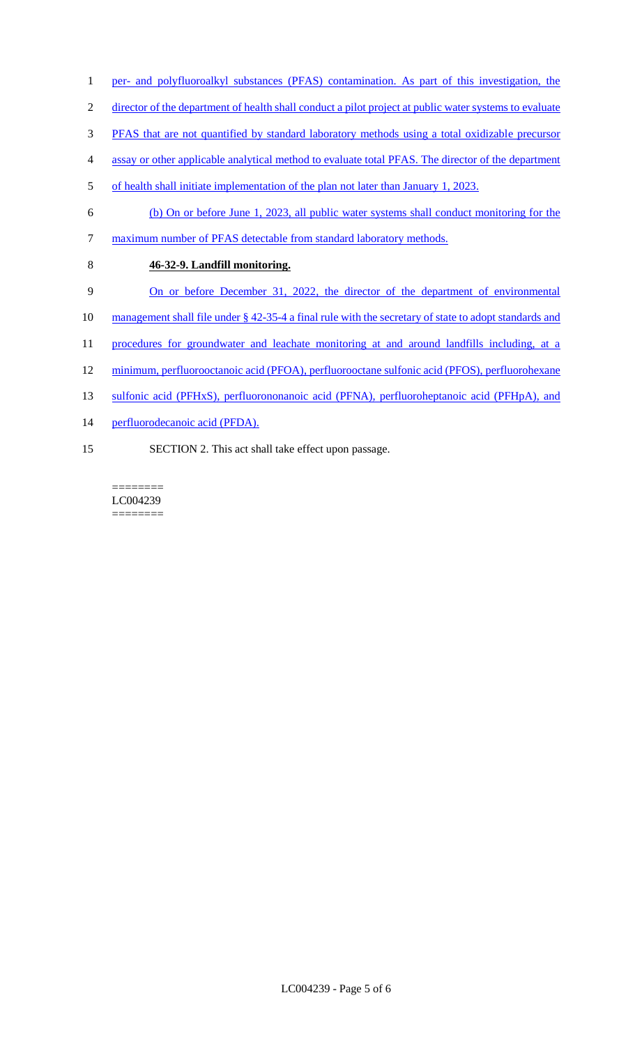- 1 per- and polyfluoroalkyl substances (PFAS) contamination. As part of this investigation, the
- 2 director of the department of health shall conduct a pilot project at public water systems to evaluate
- 3 PFAS that are not quantified by standard laboratory methods using a total oxidizable precursor
- 4 assay or other applicable analytical method to evaluate total PFAS. The director of the department
- 5 of health shall initiate implementation of the plan not later than January 1, 2023.
- 6 (b) On or before June 1, 2023, all public water systems shall conduct monitoring for the
- 7 maximum number of PFAS detectable from standard laboratory methods.
- 8 **46-32-9. Landfill monitoring.**
- 9 On or before December 31, 2022, the director of the department of environmental
- 10 management shall file under § 42-35-4 a final rule with the secretary of state to adopt standards and
- 11 procedures for groundwater and leachate monitoring at and around landfills including, at a
- 12 minimum, perfluorooctanoic acid (PFOA), perfluorooctane sulfonic acid (PFOS), perfluorohexane
- 13 sulfonic acid (PFHxS), perfluorononanoic acid (PFNA), perfluoroheptanoic acid (PFHpA), and
- 14 perfluorodecanoic acid (PFDA).
- 15 SECTION 2. This act shall take effect upon passage.

======== LC004239 ========